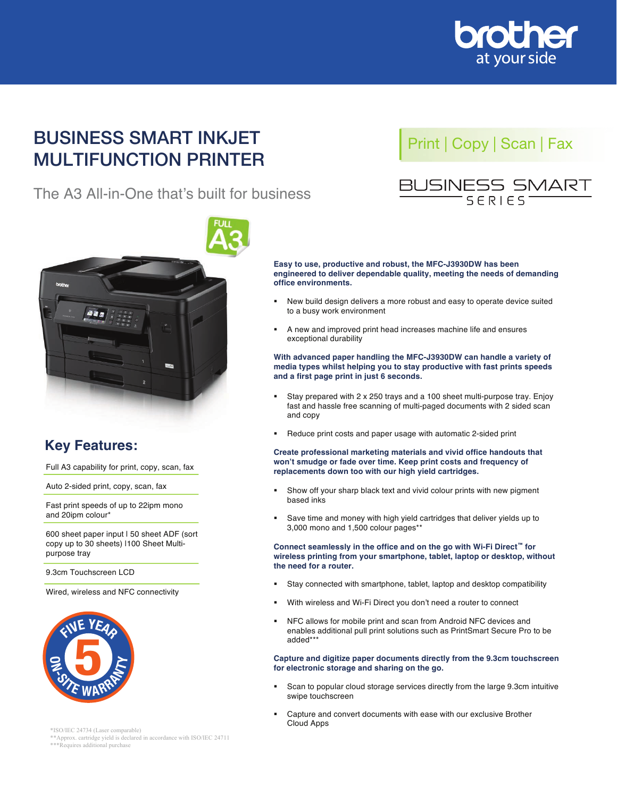

## **BUSINESS SMART INKJET MULTIFUNCTION PRINTER BUSINESS SMART INKJET BUSINESS SMART INKJET**<br>
Print | Copy | Scan | Fax

**BUSINESS SMART INKJET** 

**BUSINESS SMART INKJET** 

**MULTI-FUNCTION CENTRE**

# The A3 All-in-One that's built for business The A3 All-In-One that's built for business



 $\mathcal{P}_\text{c}$  and  $\mathcal{P}_\text{c}$  is a set of  $\mathcal{P}_\text{c}$  and  $\mathcal{P}_\text{c}$  is a set of  $\mathcal{P}_\text{c}$ 

 $\mathcal{P}_\text{c}$  and  $\mathcal{P}_\text{c}$  is a set of  $\mathcal{P}_\text{c}$  and  $\mathcal{P}_\text{c}$ 

## **BUSINESS SMART Easy to use, productive and robust, the MFC-J3930DW has been**



# **Key Features:**

Full A3 capability for print, copy, scan, fax

Auto 2-sided print, copy, scan, fax **Auto 2-sided** print, copy, scan, fax

Fast print speeds of up to zzipm in<br>and 20ipm colour<sup>\*</sup> Fast print speeds of up to 22ipm mono Fast print speed of up to 22 ipm monotonic up to 22 ipm monotonic up to 22 ipm monotonic up to 22 ipm monotoni<br>The 22ipm monotonic up to 22ipm monotonic up to 22ipm monotonic up to 22ipm monotonic up to 22ipm monotonic up

600 sheet paper input I 50 sheet ADF (sort copy up to 30 sheets) I100 Sheet Multipurpose tray<br> **Europese tray** 

copy up to 30 sheets) |100 sheets) |100 sheets) |100 sheets) |100 sheets) |100 sheets) |100 sheets) |100 sheet

9.3cm Touchscreen LCD processing trader

and 20ipm colour and 20ipm

Wired, wireless and NFC connectivity and 20ipm colours of



\*ISO/IEC 24734 (Laser comparable)

\*ISO/IEC 24734 (Laser comparable) \*\*Approx. cartridge yield is declared in accordance with ISO/IEC 24711 \*\*Approx. cartridge yield is declared in accordance with ISO/IEC 24711 \*\*\*Requires additional purchase \*\*\*Requires additional purchase



Easy to use, productive and robust, the MFC-J3930DW has been except to a busy productive durabidity, meeting the needs of demanding engineered to deliver dependable quality, meeting the needs of demanding office environments. Easy to use, productive and robust, the MFC-J3930DW has been

- **New build design delivers a more robust and easy to operate device suited** With a way from comforment to a busy work environment **.** New build design delivers a more robust and easy to operate device suited
- **A** new and improved print head increases machine life and ensures **and a first free seconds.**<br> **exceptional durability A** new and improved print head increases machine life and ensures

#### With advanced paper handling the MFC-J3930DW can handle a variety of media types whilst helping you to stay productive with fast prints speeds and a first page print in just 6 seconds.<br> **And a first page print in just 6 seconds.** With advanced paper handling the MFC-J3930DW can handle a variety of

- **Stay prepared with 2 x 250 trays and a 100 sheet multi-purpose tray.** fast and hassle free scanning of multi-paged documents with 2 sided scan<br>and copy which supply **.**<br>**blace stage print and first 4** seconds to the 3 second prints and the state that in Stay. Enjoy **won't smudge or fade or fade or fade or fade or fade or fade or fade or fade or fade or fade or fade or fade or fade or fade or fade or fade or fade or fade or fade or fade or fade or fade or fade or fade or fade or fade** and copy and  $\frac{1}{2}$  x 250 sheet multi-purpose trays and a 100 sheet multi-purpose trays and a 100 sheet multi-purpose trays and a 100 sheet multi-purpose trays and a 100 sheet multi-purpose trays and a 100 sheet multi-p
- **Replace of the place of the show of the set of the set of the show of the show of the show of the show of the s**<br>In Show of the show with a show with automatic 2-sided print Heduce pri **BED** Reduce print costs and paper usage with automatic 2-sided print

Create professional marketing materials and vivid office handouts that won't smudge or fade over time. Keep print costs and frequency of replacements down too with our high yield cartridges. ! Show off your sharp black text and vivid colour prints with new pigment Create professional marketing materials and vivid office handouts that

- Show off your sharp black text and vivid colour prints with new pigment **Conserved seamlessly** in the office and on the go with Wi-Fi Direct  $\mathbb{F}_{\mathbb{F}_{p}}$  Direction  $\mathbb{F}_{p}$  Direction  $\mathbb{F}_{p}$  Direction  $\mathbb{F}_{p}$  Direction  $\mathbb{F}_{p}$  Direction  $\mathbb{F}_{p}$  Direction  $\mathbb{F}_{p}$  Direction **the need inks** seamless in the office and on the go with Wi-Fi Direct™  $\mathbf{r}$  Direct  $\mathbf{r}$  and  $\mathbf{r}$  and  $\mathbf{r}$  direct  $\mathbf{r}$  and  $\mathbf{r}$  and  $\mathbf{r}$  and  $\mathbf{r}$  and  $\mathbf{r}$  and  $\mathbf{r}$  and  $\mathbf{r}$  and
- **Bave time and money with high yield cartridges that deliver yields up to the need for a router.** 3,000 mono and 1,500 colour pages\*\* **Bave time and money with high yield cartridges that deliver yields up to** ! Save time and money with high yield cartridges that deliver yields up to

Connect seamlessly in the office and on the go with Wi-Fi Direct™ for wireless printing from your smartphone, tablet, laptop or desktop, without<br>the need for a reuter **Connect solutions such as PrintSmart Smart Smart Smart Smart Smart Smart Smart Smart Smart Smart Smart Smart Smart Smart Smart Smart Smart Smart Smart Smart Smart Smart Smart Smart Smart Smart Smart Smart Smart Smart Smar** 

- $\blacksquare$  . Stay connected with emartphone, tablet Japton and deckton compatib Stay connected with smartphone, tablet, laptop and desktop compatibility
- **Nith wireless and Wi-Fi Direct you don't nee .** With wireless and Wi-Fi Direct you don't need a router to connect
- NFC allows for mobile print and scan from Android NFC devices and for electronic storage and storage and secure to the good and enables additional pull print solutions such as PrintSmart Secure Pro to be  $1$ Scan to popular cloud storage services directly from the large 9.3cm intervals of  $\mathcal{L}$  $\mathsf{added^{***}}$ added\*\*\*

iture and digitize for electronic storage and sharing on the go. **Capture and digitize paper documents directly from the 9.3cm touchscreen** 

- **F** Scan to popular cloud storage services directly from the large 9.3cm intuitive swipe touchscreen
- **Capture and convert documents with ease with our exclusive Brother** Cloud Apps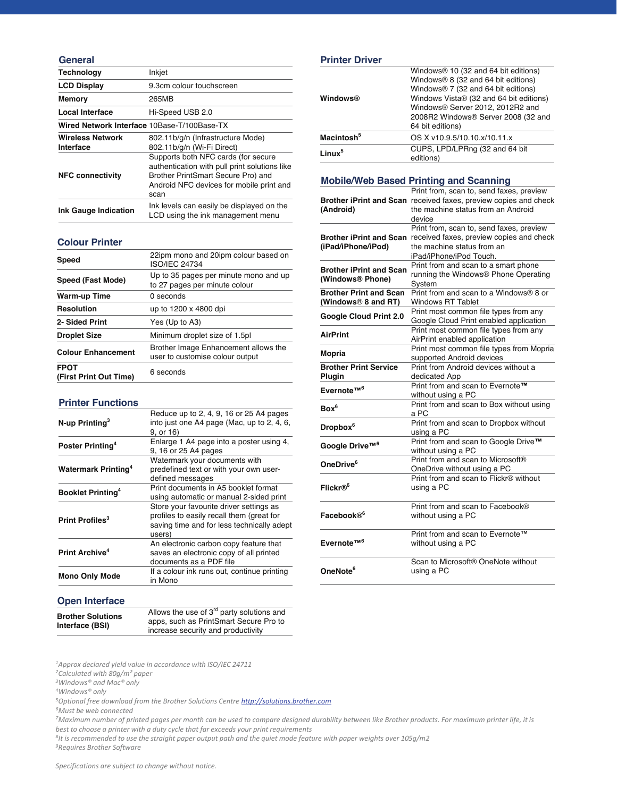#### **General**

| <b>Technology</b>                           | Inkjet                                                                                                                                                  |
|---------------------------------------------|---------------------------------------------------------------------------------------------------------------------------------------------------------|
| <b>LCD Display</b>                          | 9.3cm colour touchscreen                                                                                                                                |
| <b>Memory</b>                               | 265MB                                                                                                                                                   |
| Local Interface                             | Hi-Speed USB 2.0                                                                                                                                        |
| Wired Network Interface 10Base-T/100Base-TX |                                                                                                                                                         |
| <b>Wireless Network</b><br>Interface        | 802.11b/g/n (Infrastructure Mode)<br>802.11b/g/n (Wi-Fi Direct)<br>Supports both NFC cards (for secure<br>authentication with pull print solutions like |
| <b>NFC connectivity</b>                     | Brother PrintSmart Secure Pro) and<br>Android NFC devices for mobile print and<br>scan                                                                  |
| <b>Ink Gauge Indication</b>                 | Ink levels can easily be displayed on the<br>LCD using the ink management menu                                                                          |

#### **Colour Printer**

| <b>Speed</b>                          | 22ipm mono and 20ipm colour based on<br><b>ISO/IEC 24734</b>            |
|---------------------------------------|-------------------------------------------------------------------------|
| Speed (Fast Mode)                     | Up to 35 pages per minute mono and up<br>to 27 pages per minute colour  |
| Warm-up Time                          | 0 seconds                                                               |
| <b>Resolution</b>                     | up to 1200 x 4800 dpi                                                   |
| 2- Sided Print                        | Yes (Up to A3)                                                          |
| <b>Droplet Size</b>                   | Minimum droplet size of 1.5pl                                           |
| <b>Colour Enhancement</b>             | Brother Image Enhancement allows the<br>user to customise colour output |
| <b>FPOT</b><br>(First Print Out Time) | 6 seconds                                                               |

#### **Printer Functions**

|                                        | Reduce up to 2, 4, 9, 16 or 25 A4 pages               |
|----------------------------------------|-------------------------------------------------------|
| N-up Printing <sup>3</sup>             | into just one A4 page (Mac, up to 2, 4, 6,            |
|                                        | 9, or 16)<br>Enlarge 1 A4 page into a poster using 4, |
| Poster Printing <sup>4</sup>           | 9, 16 or 25 A4 pages                                  |
|                                        | Watermark your documents with                         |
| <b>Watermark Printing</b> <sup>4</sup> | predefined text or with your own user-                |
| <b>Booklet Printing</b> <sup>4</sup>   | defined messages                                      |
|                                        | Print documents in A5 booklet format                  |
|                                        | using automatic or manual 2-sided print               |
|                                        | Store your favourite driver settings as               |
| Print Profiles <sup>3</sup>            | profiles to easily recall them (great for             |
|                                        | saving time and for less technically adept<br>users)  |
|                                        | An electronic carbon copy feature that                |
| Print Archive <sup>4</sup>             | saves an electronic copy of all printed               |
|                                        | documents as a PDF file                               |
|                                        | If a colour ink runs out, continue printing           |
| <b>Mono Only Mode</b>                  | in Mono                                               |

#### **Open Interface**

| <b>Brother Solutions</b> | Allows the use of $3rd$ party solutions and |
|--------------------------|---------------------------------------------|
|                          | apps, such as PrintSmart Secure Pro to      |
| Interface (BSI)          | increase security and productivity          |

<sup>1</sup>Approx declared yield value in accordance with ISO/IEC 24711

 $4$ *Windows<sup>®</sup> only* 

5Optional free download from the Brother Solutions Centre http://solutions.brother.com

 $6$ Must be web connected

<sup>7</sup>Maximum number of printed pages per month can be used to compare designed durability between like Brother products. For maximum printer life, it is best to choose a printer with a duty cycle that far exceeds your print requirements

 $s$ <sup>1</sup>t is recommended to use the straight paper output path and the quiet mode feature with paper weights over 105g/m2

<sup>9</sup>Requires Brother Software

#### **Printer Driver**

| <b>Windows®</b>        | Windows <sup>®</sup> 10 (32 and 64 bit editions)<br>Windows <sup>®</sup> 8 (32 and 64 bit editions)<br>Windows <sup>®</sup> 7 (32 and 64 bit editions)<br>Windows Vista® (32 and 64 bit editions)<br>Windows® Server 2012, 2012R2 and<br>2008R2 Windows® Server 2008 (32 and<br>64 bit editions) |
|------------------------|--------------------------------------------------------------------------------------------------------------------------------------------------------------------------------------------------------------------------------------------------------------------------------------------------|
| Macintosh <sup>5</sup> | OS X v10.9.5/10.10.x/10.11.x                                                                                                                                                                                                                                                                     |
| Linux <sup>5</sup>     | CUPS, LPD/LPRng (32 and 64 bit)<br>editions)                                                                                                                                                                                                                                                     |

## **Mobile/Web Based Printing and Scanning**

|                                | Print from, scan to, send faxes, preview                                |
|--------------------------------|-------------------------------------------------------------------------|
| (Android)                      | <b>Brother iPrint and Scan</b> received faxes, preview copies and check |
|                                | the machine status from an Android                                      |
|                                | device                                                                  |
|                                | Print from, scan to, send faxes, preview                                |
|                                | Brother iPrint and Scan received faxes, preview copies and check        |
| (iPad/iPhone/iPod)             | the machine status from an                                              |
|                                | iPad/iPhone/iPod Touch.                                                 |
|                                | Print from and scan to a smart phone                                    |
| <b>Brother iPrint and Scan</b> | running the Windows <sup>®</sup> Phone Operating                        |
| (Windows® Phone)               | System                                                                  |
| <b>Brother Print and Scan</b>  | Print from and scan to a Windows® 8 or                                  |
| (Windows® 8 and RT)            | Windows RT Tablet                                                       |
| Google Cloud Print 2.0         | Print most common file types from any                                   |
|                                | Google Cloud Print enabled application                                  |
| <b>AirPrint</b>                | Print most common file types from any                                   |
|                                | AirPrint enabled application                                            |
| <b>Mopria</b>                  | Print most common file types from Mopria                                |
|                                | supported Android devices                                               |
| <b>Brother Print Service</b>   | Print from Android devices without a                                    |
| Plugin                         | dedicated App                                                           |
| Evernote™ <sup>6</sup>         | Print from and scan to Evernote™                                        |
|                                | without using a PC                                                      |
| Box <sup>6</sup>               | Print from and scan to Box without using                                |
|                                | a PC                                                                    |
| Dropbox <sup>6</sup>           | Print from and scan to Dropbox without                                  |
|                                | using a PC                                                              |
| Google Drive™ <sup>6</sup>     | Print from and scan to Google Drive™                                    |
|                                | without using a PC                                                      |
| OneDrive <sup>6</sup>          | Print from and scan to Microsoft <sup>®</sup>                           |
|                                | OneDrive without using a PC<br>Print from and scan to Flickr® without   |
| Flickr® <sup>6</sup>           |                                                                         |
|                                | using a PC                                                              |
|                                | Print from and scan to Facebook®                                        |
| Facebook® <sup>6</sup>         | without using a PC                                                      |
|                                |                                                                         |
|                                | Print from and scan to Evernote™                                        |
| Evernote <sup>™6</sup>         | without using a PC                                                      |
|                                |                                                                         |
|                                | Scan to Microsoft® OneNote without                                      |
| OneNote <sup>6</sup>           | using a PC                                                              |

<sup>&</sup>lt;sup>2</sup>Calculated with 80g/m<sup>2</sup> paper

<sup>&</sup>lt;sup>3</sup>Windows<sup>®</sup> and Mac® only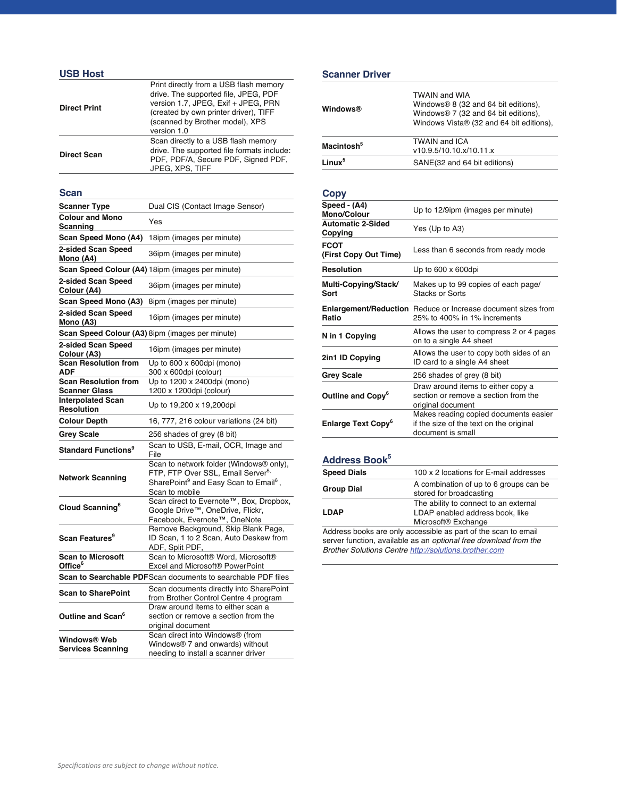## **USB Host**

| <b>Direct Print</b> | Print directly from a USB flash memory<br>drive. The supported file, JPEG, PDF<br>version 1.7, JPEG, Exif + JPEG, PRN<br>(created by own printer driver), TIFF<br>(scanned by Brother model), XPS<br>version 1.0 |
|---------------------|------------------------------------------------------------------------------------------------------------------------------------------------------------------------------------------------------------------|
| <b>Direct Scan</b>  | Scan directly to a USB flash memory<br>drive. The supported file formats include:<br>PDF, PDF/A, Secure PDF, Signed PDF,<br>JPEG, XPS, TIFF                                                                      |

## **Scan**

| <b>Scanner Type</b>                             | Dual CIS (Contact Image Sensor)                                                                                                                                             |
|-------------------------------------------------|-----------------------------------------------------------------------------------------------------------------------------------------------------------------------------|
| <b>Colour and Mono</b><br>Scanning              | Yes                                                                                                                                                                         |
| Scan Speed Mono (A4)                            | 18ipm (images per minute)                                                                                                                                                   |
| 2-sided Scan Speed<br>Mono (A4)                 | 36ipm (images per minute)                                                                                                                                                   |
|                                                 | Scan Speed Colour (A4) 18ipm (images per minute)                                                                                                                            |
| 2-sided Scan Speed<br>Colour (A4)               | 36ipm (images per minute)                                                                                                                                                   |
| Scan Speed Mono (A3)                            | 8ipm (images per minute)                                                                                                                                                    |
| 2-sided Scan Speed<br>Mono (A3)                 | 16ipm (images per minute)                                                                                                                                                   |
|                                                 | Scan Speed Colour (A3) 8ipm (images per minute)                                                                                                                             |
| 2-sided Scan Speed<br>Colour (A3)               | 16ipm (images per minute)                                                                                                                                                   |
| <b>Scan Resolution from</b>                     | Up to 600 x 600dpi (mono)                                                                                                                                                   |
| ADF<br><b>Scan Resolution from</b>              | 300 x 600dpi (colour)<br>Up to 1200 x 2400dpi (mono)                                                                                                                        |
| Scanner Glass                                   | 1200 x 1200dpi (colour)                                                                                                                                                     |
| <b>Interpolated Scan</b>                        |                                                                                                                                                                             |
| <b>Resolution</b>                               | Up to 19,200 x 19,200dpi                                                                                                                                                    |
| <b>Colour Depth</b>                             | 16, 777, 216 colour variations (24 bit)                                                                                                                                     |
|                                                 |                                                                                                                                                                             |
| <b>Grey Scale</b>                               | 256 shades of grey (8 bit)                                                                                                                                                  |
| <b>Standard Functions<sup>9</sup></b>           | Scan to USB, E-mail, OCR, Image and<br>File                                                                                                                                 |
| <b>Network Scanning</b>                         | Scan to network folder (Windows® only),<br>FTP, FTP Over SSL, Email Server <sup>5,</sup><br>SharePoint <sup>9</sup> and Easy Scan to Email <sup>6</sup> ,<br>Scan to mobile |
| Cloud Scanning <sup>6</sup>                     | Scan direct to Evernote <sup>™</sup> , Box, Dropbox,<br>Google Drive™, OneDrive, Flickr,                                                                                    |
| Scan Features <sup>9</sup>                      | Facebook, Evernote <sup>™</sup> , OneNote<br>Remove Background, Skip Blank Page,<br>ID Scan, 1 to 2 Scan, Auto Deskew from<br>ADF, Split PDF,                               |
| <b>Scan to Microsoft</b><br>Office <sup>6</sup> | Scan to Microsoft® Word, Microsoft®<br>Excel and Microsoft <sup>®</sup> PowerPoint                                                                                          |
|                                                 | Scan to Searchable PDFScan documents to searchable PDF files                                                                                                                |
| <b>Scan to SharePoint</b>                       | Scan documents directly into SharePoint<br>from Brother Control Centre 4 program                                                                                            |
| Outline and Scan <sup>6</sup>                   | Draw around items to either scan a<br>section or remove a section from the<br>original document<br>Scan direct into Windows® (from                                          |

#### **Scanner Driver**

| <b>Windows®</b>        | <b>TWAIN and WIA</b><br>Windows <sup>®</sup> 8 (32 and 64 bit editions),<br>Windows <sup>®</sup> 7 (32 and 64 bit editions),<br>Windows Vista® (32 and 64 bit editions), |
|------------------------|--------------------------------------------------------------------------------------------------------------------------------------------------------------------------|
| Macintosh <sup>5</sup> | <b>TWAIN and ICA</b>                                                                                                                                                     |
|                        | v10.9.5/10.10.x/10.11.x                                                                                                                                                  |
| $1$ inux <sup>5</sup>  | SANE(32 and 64 bit editions)                                                                                                                                             |

#### **Copy**

| Up to 12/9ipm (images per minute)                                                                     |
|-------------------------------------------------------------------------------------------------------|
| Yes (Up to A3)                                                                                        |
| Less than 6 seconds from ready mode                                                                   |
| Up to $600 \times 600$ dpi                                                                            |
| Makes up to 99 copies of each page/<br><b>Stacks or Sorts</b>                                         |
| <b>Enlargement/Reduction</b> Reduce or Increase document sizes from<br>25% to 400% in 1% increments   |
| Allows the user to compress 2 or 4 pages<br>on to a single A4 sheet                                   |
| Allows the user to copy both sides of an<br>ID card to a single A4 sheet                              |
| 256 shades of grey (8 bit)                                                                            |
| Draw around items to either copy a<br>section or remove a section from the<br>original document       |
| Makes reading copied documents easier<br>if the size of the text on the original<br>document is small |
|                                                                                                       |

## Address Book<sup>5</sup>

| <b>Speed Dials</b> | 100 x 2 locations for E-mail addresses                                                                      |
|--------------------|-------------------------------------------------------------------------------------------------------------|
| <b>Group Dial</b>  | A combination of up to 6 groups can be<br>stored for broadcasting                                           |
| <b>LDAP</b>        | The ability to connect to an external<br>LDAP enabled address book, like<br>Microsoft <sup>®</sup> Exchange |
|                    | Address books are only accessible as part of the scan to email                                              |

Address books are only accessible as part of the scan to email server function, available as an *optional free download from the Brother Solutions Centre http://solutions.brother.com*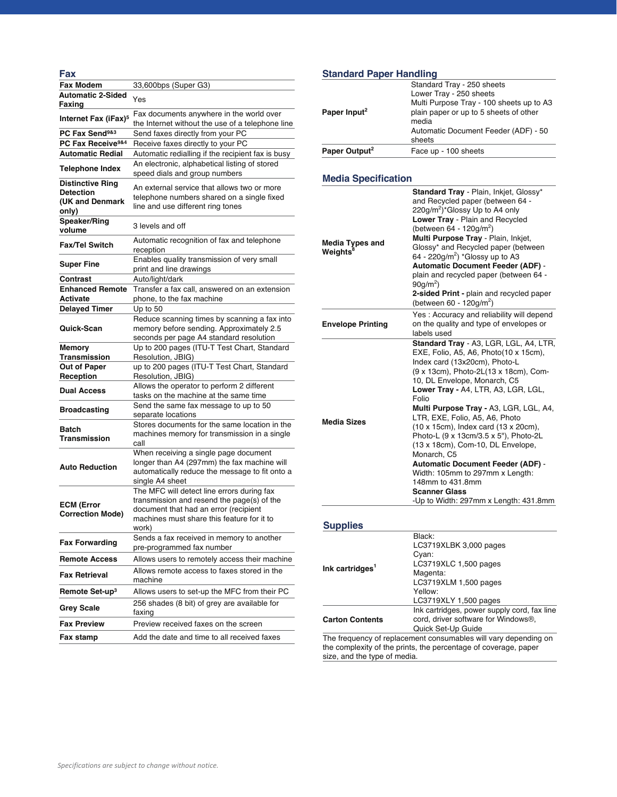| Fax                                                                     |                                                                                                                                                                                          |
|-------------------------------------------------------------------------|------------------------------------------------------------------------------------------------------------------------------------------------------------------------------------------|
| <b>Fax Modem</b>                                                        | 33,600bps (Super G3)                                                                                                                                                                     |
| <b>Automatic 2-Sided</b>                                                | Yes                                                                                                                                                                                      |
| Faxing                                                                  |                                                                                                                                                                                          |
| Internet Fax (iFax) <sup>5</sup>                                        | Fax documents anywhere in the world over<br>the Internet without the use of a telephone line                                                                                             |
| PC Fax Send <sup>9&amp;3</sup>                                          | Send faxes directly from your PC                                                                                                                                                         |
| PC Fax Receive <sup>9&amp;4</sup>                                       | Receive faxes directly to your PC                                                                                                                                                        |
| <b>Automatic Redial</b>                                                 | Automatic redialling if the recipient fax is busy                                                                                                                                        |
| <b>Telephone Index</b>                                                  | An electronic, alphabetical listing of stored<br>speed dials and group numbers                                                                                                           |
| <b>Distinctive Ring</b><br><b>Detection</b><br>(UK and Denmark<br>only) | An external service that allows two or more<br>telephone numbers shared on a single fixed<br>line and use different ring tones                                                           |
| <b>Speaker/Ring</b><br>volume                                           | 3 levels and off                                                                                                                                                                         |
| <b>Fax/Tel Switch</b>                                                   | Automatic recognition of fax and telephone<br>reception                                                                                                                                  |
| <b>Super Fine</b>                                                       | Enables quality transmission of very small<br>print and line drawings                                                                                                                    |
| Contrast                                                                | Auto/light/dark                                                                                                                                                                          |
| <b>Enhanced Remote</b><br>Activate                                      | Transfer a fax call, answered on an extension<br>phone, to the fax machine                                                                                                               |
| <b>Delayed Timer</b>                                                    | Up to 50                                                                                                                                                                                 |
| Quick-Scan                                                              | Reduce scanning times by scanning a fax into<br>memory before sending. Approximately 2.5<br>seconds per page A4 standard resolution                                                      |
| <b>Memory</b>                                                           | Up to 200 pages (ITU-T Test Chart, Standard                                                                                                                                              |
| <b>Transmission</b>                                                     | Resolution, JBIG)                                                                                                                                                                        |
| Out of Paper                                                            | up to 200 pages (ITU-T Test Chart, Standard                                                                                                                                              |
| Reception                                                               | Resolution, JBIG)                                                                                                                                                                        |
| <b>Dual Access</b>                                                      | Allows the operator to perform 2 different<br>tasks on the machine at the same time                                                                                                      |
| <b>Broadcasting</b>                                                     | Send the same fax message to up to 50<br>separate locations                                                                                                                              |
| Batch<br>Transmission                                                   | Stores documents for the same location in the<br>machines memory for transmission in a single<br>call                                                                                    |
| <b>Auto Reduction</b>                                                   | When receiving a single page document<br>longer than A4 (297mm) the fax machine will<br>automatically reduce the message to fit onto a<br>single A4 sheet                                |
| <b>ECM (Error</b><br><b>Correction Mode)</b>                            | The MFC will detect line errors during fax<br>transmission and resend the page(s) of the<br>document that had an error (recipient<br>machines must share this feature for it to<br>work) |
| <b>Fax Forwarding</b>                                                   | Sends a fax received in memory to another<br>pre-programmed fax number                                                                                                                   |
| <b>Remote Access</b>                                                    | Allows users to remotely access their machine                                                                                                                                            |
| <b>Fax Retrieval</b>                                                    | Allows remote access to faxes stored in the<br>machine                                                                                                                                   |
| Remote Set-up <sup>3</sup>                                              | Allows users to set-up the MFC from their PC                                                                                                                                             |
| <b>Grey Scale</b>                                                       | 256 shades (8 bit) of grey are available for<br>faxing                                                                                                                                   |
| <b>Fax Preview</b>                                                      | Preview received faxes on the screen                                                                                                                                                     |
| Fax stamp                                                               | Add the date and time to all received faxes                                                                                                                                              |

# **Standard Paper Handling**

| Standard Tray - 250 sheets<br>Lower Tray - 250 sheets<br>Multi Purpose Tray - 100 sheets up to A3<br>plain paper or up to 5 sheets of other<br>media<br>Automatic Document Feeder (ADF) - 50<br>sheets |
|--------------------------------------------------------------------------------------------------------------------------------------------------------------------------------------------------------|
| Face up - 100 sheets                                                                                                                                                                                   |
|                                                                                                                                                                                                        |

## **Media Specification**

| <b>Media Types and</b><br>Weights <sup>8</sup> | Standard Tray - Plain, Inkjet, Glossy*<br>and Recycled paper (between 64 -<br>$220q/m^2$ <sup>*</sup> Glossy Up to A4 only<br>Lower Tray - Plain and Recycled<br>(between 64 - 120g/m <sup>2</sup> )<br>Multi Purpose Tray - Plain, Inkjet,<br>Glossy* and Recycled paper (between<br>64 - 220g/m <sup>2</sup> ) *Glossy up to A3<br><b>Automatic Document Feeder (ADF) -</b><br>plain and recycled paper (between 64 -<br>$90q/m^2$ )<br>2-sided Print - plain and recycled paper<br>(between 60 - 120g/m <sup>2</sup> )                                                                                                      |
|------------------------------------------------|--------------------------------------------------------------------------------------------------------------------------------------------------------------------------------------------------------------------------------------------------------------------------------------------------------------------------------------------------------------------------------------------------------------------------------------------------------------------------------------------------------------------------------------------------------------------------------------------------------------------------------|
| <b>Envelope Printing</b>                       | Yes: Accuracy and reliability will depend<br>on the quality and type of envelopes or<br>labels used                                                                                                                                                                                                                                                                                                                                                                                                                                                                                                                            |
| Media Sizes                                    | Standard Tray - A3, LGR, LGL, A4, LTR,<br>EXE, Folio, A5, A6, Photo(10 x 15cm),<br>Index card (13x20cm), Photo-L<br>(9 x 13cm), Photo-2L(13 x 18cm), Com-<br>10, DL Envelope, Monarch, C5<br>Lower Tray - A4, LTR, A3, LGR, LGL,<br>Folio<br>Multi Purpose Tray - A3, LGR, LGL, A4,<br>LTR, EXE, Folio, A5, A6, Photo<br>(10 x 15cm), Index card (13 x 20cm),<br>Photo-L (9 x 13cm/3.5 x 5"), Photo-2L<br>(13 x 18cm), Com-10, DL Envelope,<br>Monarch, C5<br><b>Automatic Document Feeder (ADF) -</b><br>Width: 105mm to 297mm x Length:<br>148mm to 431.8mm<br><b>Scanner Glass</b><br>-Up to Width: 297mm x Length: 431.8mm |

## **Supplies**

| Ink cartridges <sup>1</sup> | Black:<br>LC3719XLBK 3,000 pages<br>Cyan:<br>LC3719XLC 1,500 pages                                       |
|-----------------------------|----------------------------------------------------------------------------------------------------------|
|                             | Magenta:<br>LC3719XLM 1,500 pages<br>Yellow:<br>LC3719XLY 1,500 pages                                    |
| <b>Carton Contents</b>      | Ink cartridges, power supply cord, fax line<br>cord, driver software for Windows®,<br>Quick Set-Up Guide |
| $- \cdot$                   |                                                                                                          |

The frequency of replacement consumables will vary depending on the complexity of the prints, the percentage of coverage, paper size, and the type of media.